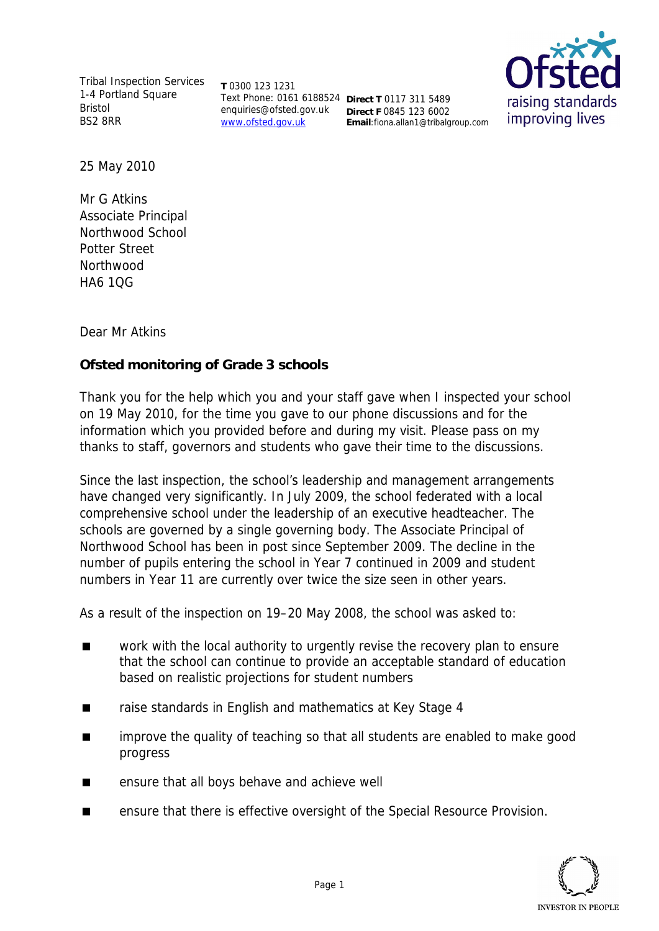Tribal Inspection Services 1-4 Portland Square Bristol BS2 8RR

**T** 0300 123 1231 Text Phone: 0161 6188524 **Direct T** 0117 311 5489 enquiries@ofsted.gov.uk www.ofsted.gov.uk **Direct F** 0845 123 6002 **Email**:fiona.allan1@tribalgroup.com



25 May 2010

Mr G Atkins Associate Principal Northwood School Potter Street Northwood HA6 1QG

Dear Mr Atkins

**Ofsted monitoring of Grade 3 schools**

Thank you for the help which you and your staff gave when I inspected your school on 19 May 2010, for the time you gave to our phone discussions and for the information which you provided before and during my visit. Please pass on my thanks to staff, governors and students who gave their time to the discussions.

Since the last inspection, the school's leadership and management arrangements have changed very significantly. In July 2009, the school federated with a local comprehensive school under the leadership of an executive headteacher. The schools are governed by a single governing body. The Associate Principal of Northwood School has been in post since September 2009. The decline in the number of pupils entering the school in Year 7 continued in 2009 and student numbers in Year 11 are currently over twice the size seen in other years.

As a result of the inspection on 19–20 May 2008, the school was asked to:

- work with the local authority to urgently revise the recovery plan to ensure that the school can continue to provide an acceptable standard of education based on realistic projections for student numbers
- raise standards in English and mathematics at Key Stage 4
- improve the quality of teaching so that all students are enabled to make good progress
- **EXECUTE:** ensure that all boys behave and achieve well
- ensure that there is effective oversight of the Special Resource Provision.

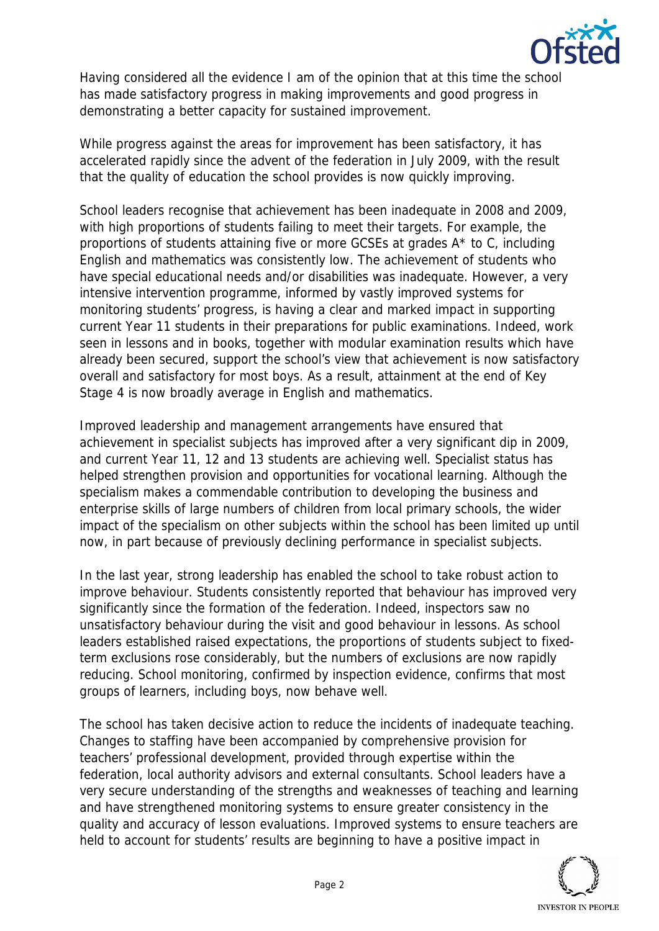

Having considered all the evidence I am of the opinion that at this time the school has made satisfactory progress in making improvements and good progress in demonstrating a better capacity for sustained improvement.

While progress against the areas for improvement has been satisfactory, it has accelerated rapidly since the advent of the federation in July 2009, with the result that the quality of education the school provides is now quickly improving.

School leaders recognise that achievement has been inadequate in 2008 and 2009, with high proportions of students failing to meet their targets. For example, the proportions of students attaining five or more GCSEs at grades A\* to C, including English and mathematics was consistently low. The achievement of students who have special educational needs and/or disabilities was inadequate. However, a very intensive intervention programme, informed by vastly improved systems for monitoring students' progress, is having a clear and marked impact in supporting current Year 11 students in their preparations for public examinations. Indeed, work seen in lessons and in books, together with modular examination results which have already been secured, support the school's view that achievement is now satisfactory overall and satisfactory for most boys. As a result, attainment at the end of Key Stage 4 is now broadly average in English and mathematics.

Improved leadership and management arrangements have ensured that achievement in specialist subjects has improved after a very significant dip in 2009, and current Year 11, 12 and 13 students are achieving well. Specialist status has helped strengthen provision and opportunities for vocational learning. Although the specialism makes a commendable contribution to developing the business and enterprise skills of large numbers of children from local primary schools, the wider impact of the specialism on other subjects within the school has been limited up until now, in part because of previously declining performance in specialist subjects.

In the last year, strong leadership has enabled the school to take robust action to improve behaviour. Students consistently reported that behaviour has improved very significantly since the formation of the federation. Indeed, inspectors saw no unsatisfactory behaviour during the visit and good behaviour in lessons. As school leaders established raised expectations, the proportions of students subject to fixedterm exclusions rose considerably, but the numbers of exclusions are now rapidly reducing. School monitoring, confirmed by inspection evidence, confirms that most groups of learners, including boys, now behave well.

The school has taken decisive action to reduce the incidents of inadequate teaching. Changes to staffing have been accompanied by comprehensive provision for teachers' professional development, provided through expertise within the federation, local authority advisors and external consultants. School leaders have a very secure understanding of the strengths and weaknesses of teaching and learning and have strengthened monitoring systems to ensure greater consistency in the quality and accuracy of lesson evaluations. Improved systems to ensure teachers are held to account for students' results are beginning to have a positive impact in

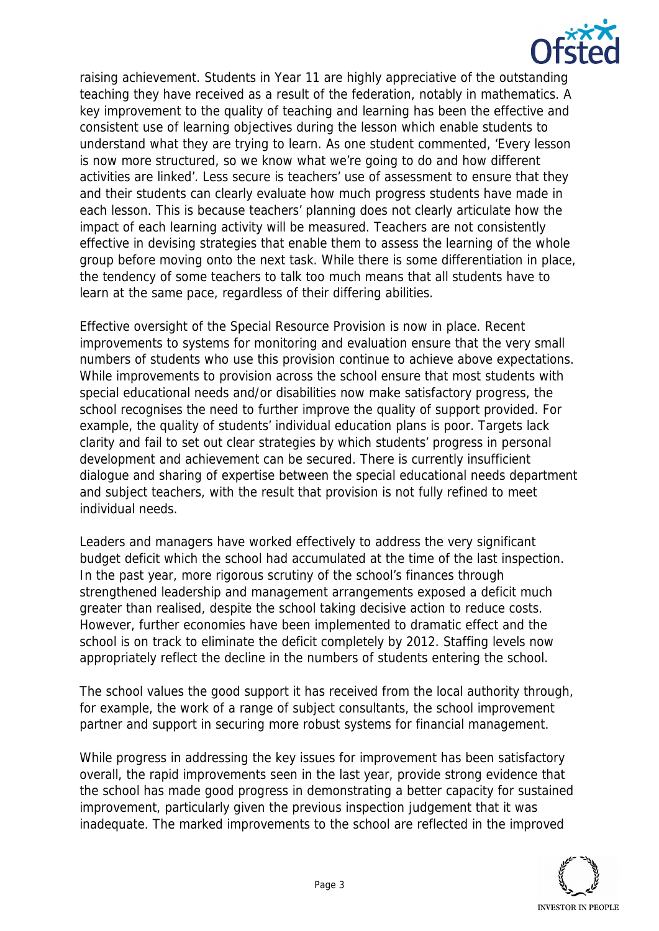

raising achievement. Students in Year 11 are highly appreciative of the outstanding teaching they have received as a result of the federation, notably in mathematics. A key improvement to the quality of teaching and learning has been the effective and consistent use of learning objectives during the lesson which enable students to understand what they are trying to learn. As one student commented, 'Every lesson is now more structured, so we know what we're going to do and how different activities are linked'. Less secure is teachers' use of assessment to ensure that they and their students can clearly evaluate how much progress students have made in each lesson. This is because teachers' planning does not clearly articulate how the impact of each learning activity will be measured. Teachers are not consistently effective in devising strategies that enable them to assess the learning of the whole group before moving onto the next task. While there is some differentiation in place, the tendency of some teachers to talk too much means that all students have to learn at the same pace, regardless of their differing abilities.

Effective oversight of the Special Resource Provision is now in place. Recent improvements to systems for monitoring and evaluation ensure that the very small numbers of students who use this provision continue to achieve above expectations. While improvements to provision across the school ensure that most students with special educational needs and/or disabilities now make satisfactory progress, the school recognises the need to further improve the quality of support provided. For example, the quality of students' individual education plans is poor. Targets lack clarity and fail to set out clear strategies by which students' progress in personal development and achievement can be secured. There is currently insufficient dialogue and sharing of expertise between the special educational needs department and subject teachers, with the result that provision is not fully refined to meet individual needs.

Leaders and managers have worked effectively to address the very significant budget deficit which the school had accumulated at the time of the last inspection. In the past year, more rigorous scrutiny of the school's finances through strengthened leadership and management arrangements exposed a deficit much greater than realised, despite the school taking decisive action to reduce costs. However, further economies have been implemented to dramatic effect and the school is on track to eliminate the deficit completely by 2012. Staffing levels now appropriately reflect the decline in the numbers of students entering the school.

The school values the good support it has received from the local authority through, for example, the work of a range of subject consultants, the school improvement partner and support in securing more robust systems for financial management.

While progress in addressing the key issues for improvement has been satisfactory overall, the rapid improvements seen in the last year, provide strong evidence that the school has made good progress in demonstrating a better capacity for sustained improvement, particularly given the previous inspection judgement that it was inadequate. The marked improvements to the school are reflected in the improved